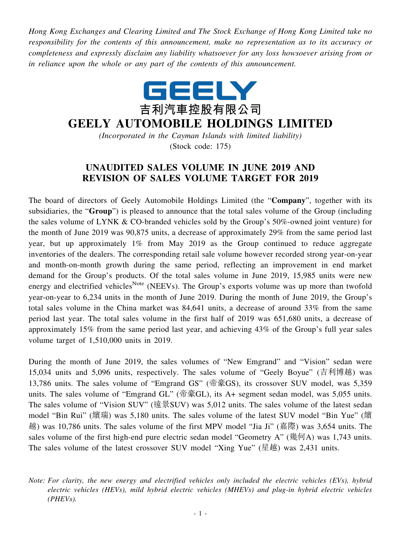*Hong Kong Exchanges and Clearing Limited and The Stock Exchange of Hong Kong Limited take no responsibility for the contents of this announcement, make no representation as to its accuracy or completeness and expressly disclaim any liability whatsoever for any loss howsoever arising from or in reliance upon the whole or any part of the contents of this announcement.*



## **GEELY AUTOMOBILE HOLDINGS LIMITED**

*(Incorporated in the Cayman Islands with limited liability)* (Stock code: 175)

## **UNAUDITED SALES VOLUME IN JUNE 2019 AND REVISION OF SALES VOLUME TARGET FOR 2019**

The board of directors of Geely Automobile Holdings Limited (the "**Company**", together with its subsidiaries, the "**Group**") is pleased to announce that the total sales volume of the Group (including the sales volume of LYNK & CO-branded vehicles sold by the Group's 50%-owned joint venture) for the month of June 2019 was 90,875 units, a decrease of approximately 29% from the same period last year, but up approximately 1% from May 2019 as the Group continued to reduce aggregate inventories of the dealers. The corresponding retail sale volume however recorded strong year-on-year and month-on-month growth during the same period, reflecting an improvement in end market demand for the Group's products. Of the total sales volume in June 2019, 15,985 units were new energy and electrified vehicles<sup>Note</sup> (NEEVs). The Group's exports volume was up more than twofold year-on-year to 6,234 units in the month of June 2019. During the month of June 2019, the Group's total sales volume in the China market was 84,641 units, a decrease of around 33% from the same period last year. The total sales volume in the first half of 2019 was 651,680 units, a decrease of approximately 15% from the same period last year, and achieving 43% of the Group's full year sales volume target of 1,510,000 units in 2019.

During the month of June 2019, the sales volumes of "New Emgrand" and "Vision" sedan were 15,034 units and 5,096 units, respectively. The sales volume of "Geely Boyue" (吉利博越) was 13,786 units. The sales volume of "Emgrand GS" (帝豪GS), its crossover SUV model, was 5,359 units. The sales volume of "Emgrand GL" (帝豪GL), its A+ segment sedan model, was 5,055 units. The sales volume of "Vision SUV" (遠景SUV) was 5,012 units. The sales volume of the latest sedan model "Bin Rui" (繽瑞) was 5,180 units. The sales volume of the latest SUV model "Bin Yue" (繽 越) was 10,786 units. The sales volume of the first MPV model "Jia Ji" (嘉際) was 3,654 units. The sales volume of the first high-end pure electric sedan model "Geometry A" (幾何A) was 1,743 units. The sales volume of the latest crossover SUV model "Xing Yue" (星越) was 2,431 units.

*Note: For clarity, the new energy and electrified vehicles only included the electric vehicles (EVs), hybrid electric vehicles (HEVs), mild hybrid electric vehicles (MHEVs) and plug-in hybrid electric vehicles (PHEVs).*